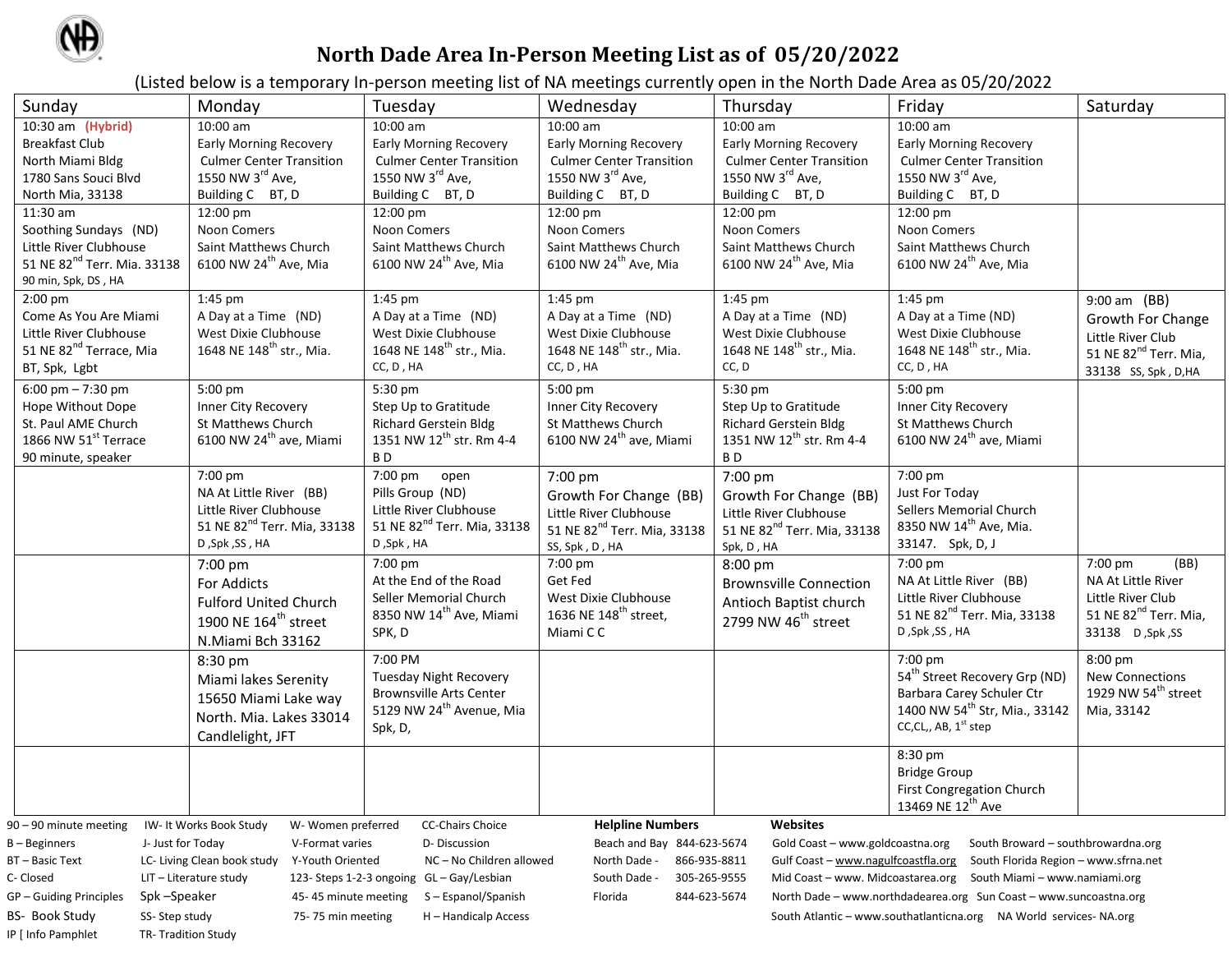

## **North Dade Area In-Person Meeting List as of 05/20/2022**

(Listed below is a temporary In-person meeting list of NA meetings currently open in the North Dade Area as 05/20/2022

| Sunday                                                                                                                                                                                | Monday                                                                                                                                                                                                    | Tuesday                                 | Wednesday                               | Thursday                                | Friday                                                | Saturday                          |  |  |
|---------------------------------------------------------------------------------------------------------------------------------------------------------------------------------------|-----------------------------------------------------------------------------------------------------------------------------------------------------------------------------------------------------------|-----------------------------------------|-----------------------------------------|-----------------------------------------|-------------------------------------------------------|-----------------------------------|--|--|
| 10:30 am (Hybrid)                                                                                                                                                                     | 10:00 am                                                                                                                                                                                                  | 10:00 am                                | 10:00 am                                | 10:00 am                                | 10:00 am                                              |                                   |  |  |
| <b>Breakfast Club</b>                                                                                                                                                                 | <b>Early Morning Recovery</b>                                                                                                                                                                             | <b>Early Morning Recovery</b>           | <b>Early Morning Recovery</b>           | Early Morning Recovery                  | <b>Early Morning Recovery</b>                         |                                   |  |  |
| North Miami Bldg                                                                                                                                                                      | <b>Culmer Center Transition</b>                                                                                                                                                                           | <b>Culmer Center Transition</b>         | <b>Culmer Center Transition</b>         | <b>Culmer Center Transition</b>         | <b>Culmer Center Transition</b>                       |                                   |  |  |
| 1780 Sans Souci Blvd                                                                                                                                                                  | 1550 NW 3rd Ave,                                                                                                                                                                                          | 1550 NW 3rd Ave,                        | 1550 NW 3rd Ave,                        | 1550 NW 3 <sup>rd</sup> Ave,            | 1550 NW 3rd Ave,                                      |                                   |  |  |
| North Mia, 33138                                                                                                                                                                      | Building C BT, D                                                                                                                                                                                          | Building C BT, D                        | Building C BT, D                        | Building C BT, D                        | Building C BT, D                                      |                                   |  |  |
| 11:30 am                                                                                                                                                                              | 12:00 pm                                                                                                                                                                                                  | 12:00 pm                                | 12:00 pm                                | 12:00 pm                                | 12:00 pm                                              |                                   |  |  |
| Soothing Sundays (ND)                                                                                                                                                                 | Noon Comers                                                                                                                                                                                               | Noon Comers                             | Noon Comers                             | Noon Comers                             | Noon Comers                                           |                                   |  |  |
| Little River Clubhouse                                                                                                                                                                | Saint Matthews Church                                                                                                                                                                                     | Saint Matthews Church                   | Saint Matthews Church                   | Saint Matthews Church                   | Saint Matthews Church                                 |                                   |  |  |
| 51 NE 82 <sup>nd</sup> Terr. Mia. 33138                                                                                                                                               | 6100 NW 24 <sup>th</sup> Ave, Mia                                                                                                                                                                         | 6100 NW 24 <sup>th</sup> Ave, Mia       | 6100 NW 24 <sup>th</sup> Ave, Mia       | 6100 NW 24 <sup>th</sup> Ave, Mia       | 6100 NW 24 <sup>th</sup> Ave, Mia                     |                                   |  |  |
| 90 min, Spk, DS, HA                                                                                                                                                                   |                                                                                                                                                                                                           |                                         |                                         |                                         |                                                       |                                   |  |  |
| $2:00$ pm                                                                                                                                                                             | 1:45 pm                                                                                                                                                                                                   | 1:45 pm                                 | 1:45 pm                                 | 1:45 pm                                 | 1:45 pm                                               | 9:00 am (BB)                      |  |  |
| Come As You Are Miami                                                                                                                                                                 | A Day at a Time (ND)                                                                                                                                                                                      | A Day at a Time (ND)                    | A Day at a Time (ND)                    | A Day at a Time (ND)                    | A Day at a Time (ND)                                  | Growth For Change                 |  |  |
| Little River Clubhouse                                                                                                                                                                | West Dixie Clubhouse                                                                                                                                                                                      | West Dixie Clubhouse                    | West Dixie Clubhouse                    | West Dixie Clubhouse                    | West Dixie Clubhouse                                  | Little River Club                 |  |  |
| 51 NE 82 <sup>nd</sup> Terrace, Mia                                                                                                                                                   | 1648 NE 148 <sup>th</sup> str., Mia.                                                                                                                                                                      | 1648 NE 148 <sup>th</sup> str., Mia.    | 1648 NE 148 <sup>th</sup> str., Mia.    | 1648 NE 148 <sup>th</sup> str., Mia.    | 1648 NE 148 <sup>th</sup> str., Mia.                  | 51 NE 82 <sup>nd</sup> Terr. Mia, |  |  |
| BT, Spk, Lgbt                                                                                                                                                                         |                                                                                                                                                                                                           | CC, D, HA                               | $CC, D$ , $HA$                          | CC, D                                   | CC, D, HA                                             | 33138 SS, Spk, D, HA              |  |  |
| 6:00 pm $- 7:30$ pm                                                                                                                                                                   | 5:00 pm                                                                                                                                                                                                   | 5:30 pm                                 | 5:00 pm                                 | 5:30 pm                                 | 5:00 pm                                               |                                   |  |  |
| Hope Without Dope                                                                                                                                                                     | Inner City Recovery                                                                                                                                                                                       | Step Up to Gratitude                    | Inner City Recovery                     | Step Up to Gratitude                    | Inner City Recovery                                   |                                   |  |  |
| St. Paul AME Church                                                                                                                                                                   | St Matthews Church                                                                                                                                                                                        | <b>Richard Gerstein Bldg</b>            | St Matthews Church                      | <b>Richard Gerstein Bldg</b>            | St Matthews Church                                    |                                   |  |  |
| 1866 NW 51st Terrace                                                                                                                                                                  | 6100 NW 24 <sup>th</sup> ave, Miami                                                                                                                                                                       | 1351 NW 12 <sup>th</sup> str. Rm 4-4    | 6100 NW 24 <sup>th</sup> ave, Miami     | 1351 NW 12 <sup>th</sup> str. Rm 4-4    | 6100 NW 24 <sup>th</sup> ave, Miami                   |                                   |  |  |
| 90 minute, speaker                                                                                                                                                                    |                                                                                                                                                                                                           | B <sub>D</sub>                          |                                         | B <sub>D</sub>                          |                                                       |                                   |  |  |
|                                                                                                                                                                                       | 7:00 pm                                                                                                                                                                                                   | $7:00 \text{ pm}$ open                  | 7:00 pm                                 | 7:00 pm                                 | 7:00 pm                                               |                                   |  |  |
|                                                                                                                                                                                       | NA At Little River (BB)                                                                                                                                                                                   | Pills Group (ND)                        | Growth For Change (BB)                  | Growth For Change (BB)                  | Just For Today                                        |                                   |  |  |
|                                                                                                                                                                                       | Little River Clubhouse                                                                                                                                                                                    | Little River Clubhouse                  | Little River Clubhouse                  | Little River Clubhouse                  | Sellers Memorial Church                               |                                   |  |  |
|                                                                                                                                                                                       | 51 NE 82 <sup>nd</sup> Terr. Mia, 33138                                                                                                                                                                   | 51 NE 82 <sup>nd</sup> Terr. Mia, 33138 | 51 NE 82 <sup>nd</sup> Terr. Mia, 33138 | 51 NE 82 <sup>nd</sup> Terr. Mia, 33138 | 8350 NW 14 <sup>th</sup> Ave, Mia.                    |                                   |  |  |
|                                                                                                                                                                                       | D, Spk, SS, HA                                                                                                                                                                                            | D, Spk, HA                              | SS, Spk, D, HA                          | Spk, D, HA                              | 33147. Spk, D, J                                      |                                   |  |  |
|                                                                                                                                                                                       | 7:00 pm                                                                                                                                                                                                   | 7:00 pm                                 | 7:00 pm                                 | 8:00 pm                                 | 7:00 pm                                               | 7:00 pm<br>(BB)                   |  |  |
|                                                                                                                                                                                       | For Addicts                                                                                                                                                                                               | At the End of the Road                  | Get Fed                                 | <b>Brownsville Connection</b>           | NA At Little River (BB)                               | NA At Little River                |  |  |
|                                                                                                                                                                                       | <b>Fulford United Church</b>                                                                                                                                                                              | Seller Memorial Church                  | West Dixie Clubhouse                    | Antioch Baptist church                  | Little River Clubhouse                                | Little River Club                 |  |  |
|                                                                                                                                                                                       | 1900 NE 164 <sup>th</sup> street                                                                                                                                                                          | 8350 NW 14 <sup>th</sup> Ave, Miami     | 1636 NE 148 <sup>th</sup> street,       | 2799 NW 46 <sup>th</sup> street         | 51 NE 82 <sup>nd</sup> Terr. Mia, 33138               | 51 NE 82 <sup>nd</sup> Terr. Mia, |  |  |
|                                                                                                                                                                                       | N.Miami Bch 33162                                                                                                                                                                                         | SPK, D                                  | Miami C C                               |                                         | D, Spk, SS, HA                                        | SS, 33138 D, Spk                  |  |  |
|                                                                                                                                                                                       | 8:30 pm                                                                                                                                                                                                   | 7:00 PM                                 |                                         |                                         | 7:00 pm                                               | 8:00 pm                           |  |  |
|                                                                                                                                                                                       | Miami lakes Serenity                                                                                                                                                                                      | <b>Tuesday Night Recovery</b>           |                                         |                                         | 54 <sup>th</sup> Street Recovery Grp (ND)             | New Connections                   |  |  |
|                                                                                                                                                                                       |                                                                                                                                                                                                           | <b>Brownsville Arts Center</b>          |                                         |                                         | Barbara Carey Schuler Ctr                             | 1929 NW 54 <sup>th</sup> street   |  |  |
|                                                                                                                                                                                       | 15650 Miami Lake way                                                                                                                                                                                      | 5129 NW 24 <sup>th</sup> Avenue, Mia    |                                         |                                         | 1400 NW 54 <sup>th</sup> Str, Mia., 33142             | Mia, 33142                        |  |  |
|                                                                                                                                                                                       | North. Mia. Lakes 33014                                                                                                                                                                                   | Spk, D,                                 |                                         |                                         | CC,CL,, AB, 1 <sup>st</sup> step                      |                                   |  |  |
|                                                                                                                                                                                       | Candlelight, JFT                                                                                                                                                                                          |                                         |                                         |                                         |                                                       |                                   |  |  |
|                                                                                                                                                                                       |                                                                                                                                                                                                           |                                         |                                         |                                         | 8:30 pm                                               |                                   |  |  |
|                                                                                                                                                                                       |                                                                                                                                                                                                           |                                         |                                         |                                         | <b>Bridge Group</b>                                   |                                   |  |  |
|                                                                                                                                                                                       |                                                                                                                                                                                                           |                                         |                                         |                                         | <b>First Congregation Church</b><br>13469 NE 12th Ave |                                   |  |  |
|                                                                                                                                                                                       |                                                                                                                                                                                                           |                                         |                                         |                                         |                                                       |                                   |  |  |
| 90 – 90 minute meeting                                                                                                                                                                | IW- It Works Book Study<br>W- Women preferred                                                                                                                                                             | <b>CC-Chairs Choice</b>                 | <b>Helpline Numbers</b>                 | <b>Websites</b>                         |                                                       |                                   |  |  |
| J- Just for Today<br>D-Discussion<br>$B - B$ eginners<br>V-Format varies<br>Beach and Bay 844-623-5674<br>Gold Coast - www.goldcoastna.org<br>South Broward - southbrowardna.org      |                                                                                                                                                                                                           |                                         |                                         |                                         |                                                       |                                   |  |  |
|                                                                                                                                                                                       | Y-Youth Oriented<br>BT-Basic Text<br>LC- Living Clean book study<br>NC-No Children allowed<br>North Dade -<br>866-935-8811<br>Gulf Coast - www.nagulfcoastfla.org<br>South Florida Region - www.sfrna.net |                                         |                                         |                                         |                                                       |                                   |  |  |
| 305-265-9555<br>C- Closed<br>123- Steps 1-2-3 ongoing GL - Gay/Lesbian<br>South Dade -<br>Mid Coast - www. Midcoastarea.org South Miami - www.namiami.org<br>LIT – Literature study   |                                                                                                                                                                                                           |                                         |                                         |                                         |                                                       |                                   |  |  |
| Spk-Speaker<br>Florida<br>844-623-5674<br>GP – Guiding Principles<br>S - Espanol/Spanish<br>North Dade – www.northdadearea.org Sun Coast – www.suncoastna.org<br>45-45 minute meeting |                                                                                                                                                                                                           |                                         |                                         |                                         |                                                       |                                   |  |  |
| BS- Book Study<br>SS-Step study<br>75-75 min meeting<br>H - Handicalp Access                                                                                                          |                                                                                                                                                                                                           |                                         |                                         |                                         |                                                       |                                   |  |  |
| IP [ Info Pamphlet<br>TR-Tradition Study                                                                                                                                              |                                                                                                                                                                                                           |                                         |                                         |                                         |                                                       |                                   |  |  |